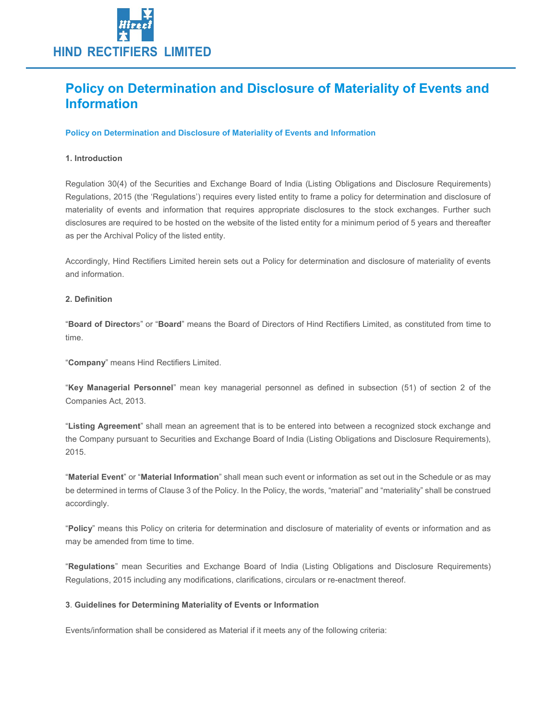

# Policy on Determination and Disclosure of Materiality of Events and Information

## Policy on Determination and Disclosure of Materiality of Events and Information

## 1. Introduction

Regulation 30(4) of the Securities and Exchange Board of India (Listing Obligations and Disclosure Requirements) Regulations, 2015 (the 'Regulations') requires every listed entity to frame a policy for determination and disclosure of materiality of events and information that requires appropriate disclosures to the stock exchanges. Further such disclosures are required to be hosted on the website of the listed entity for a minimum period of 5 years and thereafter as per the Archival Policy of the listed entity.

Accordingly, Hind Rectifiers Limited herein sets out a Policy for determination and disclosure of materiality of events and information.

#### 2. Definition

"Board of Directors" or "Board" means the Board of Directors of Hind Rectifiers Limited, as constituted from time to time.

"Company" means Hind Rectifiers Limited.

"Key Managerial Personnel" mean key managerial personnel as defined in subsection (51) of section 2 of the Companies Act, 2013.

"Listing Agreement" shall mean an agreement that is to be entered into between a recognized stock exchange and the Company pursuant to Securities and Exchange Board of India (Listing Obligations and Disclosure Requirements), 2015.

"Material Event" or "Material Information" shall mean such event or information as set out in the Schedule or as may be determined in terms of Clause 3 of the Policy. In the Policy, the words, "material" and "materiality" shall be construed accordingly.

"Policy" means this Policy on criteria for determination and disclosure of materiality of events or information and as may be amended from time to time.

"Regulations" mean Securities and Exchange Board of India (Listing Obligations and Disclosure Requirements) Regulations, 2015 including any modifications, clarifications, circulars or re-enactment thereof.

#### 3. Guidelines for Determining Materiality of Events or Information

Events/information shall be considered as Material if it meets any of the following criteria: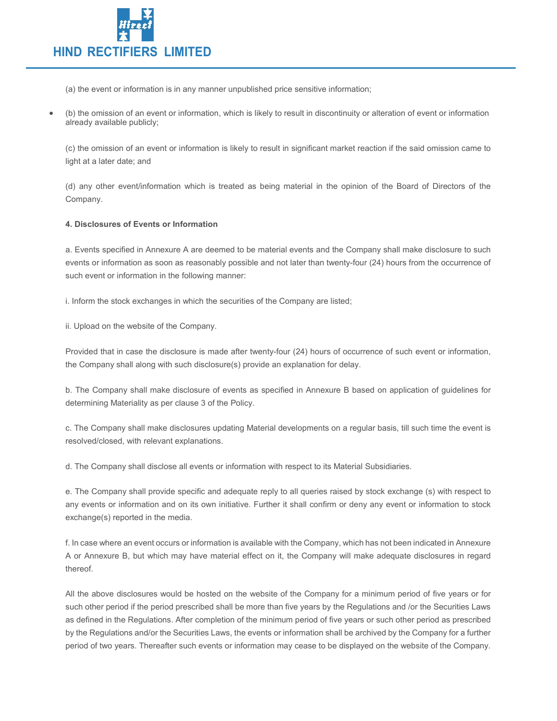

(a) the event or information is in any manner unpublished price sensitive information;

 (b) the omission of an event or information, which is likely to result in discontinuity or alteration of event or information already available publicly;

(c) the omission of an event or information is likely to result in significant market reaction if the said omission came to light at a later date; and

(d) any other event/information which is treated as being material in the opinion of the Board of Directors of the Company.

# 4. Disclosures of Events or Information

a. Events specified in Annexure A are deemed to be material events and the Company shall make disclosure to such events or information as soon as reasonably possible and not later than twenty-four (24) hours from the occurrence of such event or information in the following manner:

i. Inform the stock exchanges in which the securities of the Company are listed;

ii. Upload on the website of the Company.

Provided that in case the disclosure is made after twenty-four (24) hours of occurrence of such event or information, the Company shall along with such disclosure(s) provide an explanation for delay.

b. The Company shall make disclosure of events as specified in Annexure B based on application of guidelines for determining Materiality as per clause 3 of the Policy.

c. The Company shall make disclosures updating Material developments on a regular basis, till such time the event is resolved/closed, with relevant explanations.

d. The Company shall disclose all events or information with respect to its Material Subsidiaries.

e. The Company shall provide specific and adequate reply to all queries raised by stock exchange (s) with respect to any events or information and on its own initiative. Further it shall confirm or deny any event or information to stock exchange(s) reported in the media.

f. In case where an event occurs or information is available with the Company, which has not been indicated in Annexure A or Annexure B, but which may have material effect on it, the Company will make adequate disclosures in regard thereof.

All the above disclosures would be hosted on the website of the Company for a minimum period of five years or for such other period if the period prescribed shall be more than five years by the Regulations and /or the Securities Laws as defined in the Regulations. After completion of the minimum period of five years or such other period as prescribed by the Regulations and/or the Securities Laws, the events or information shall be archived by the Company for a further period of two years. Thereafter such events or information may cease to be displayed on the website of the Company.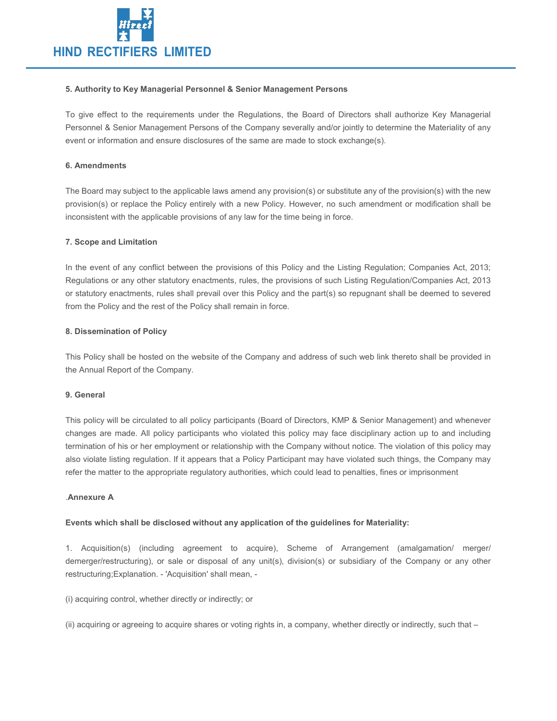

#### 5. Authority to Key Managerial Personnel & Senior Management Persons

To give effect to the requirements under the Regulations, the Board of Directors shall authorize Key Managerial Personnel & Senior Management Persons of the Company severally and/or jointly to determine the Materiality of any event or information and ensure disclosures of the same are made to stock exchange(s).

## 6. Amendments

The Board may subject to the applicable laws amend any provision(s) or substitute any of the provision(s) with the new provision(s) or replace the Policy entirely with a new Policy. However, no such amendment or modification shall be inconsistent with the applicable provisions of any law for the time being in force.

## 7. Scope and Limitation

In the event of any conflict between the provisions of this Policy and the Listing Regulation; Companies Act, 2013; Regulations or any other statutory enactments, rules, the provisions of such Listing Regulation/Companies Act, 2013 or statutory enactments, rules shall prevail over this Policy and the part(s) so repugnant shall be deemed to severed from the Policy and the rest of the Policy shall remain in force.

## 8. Dissemination of Policy

This Policy shall be hosted on the website of the Company and address of such web link thereto shall be provided in the Annual Report of the Company.

#### 9. General

This policy will be circulated to all policy participants (Board of Directors, KMP & Senior Management) and whenever changes are made. All policy participants who violated this policy may face disciplinary action up to and including termination of his or her employment or relationship with the Company without notice. The violation of this policy may also violate listing regulation. If it appears that a Policy Participant may have violated such things, the Company may refer the matter to the appropriate regulatory authorities, which could lead to penalties, fines or imprisonment

#### .Annexure A

# Events which shall be disclosed without any application of the guidelines for Materiality:

1. Acquisition(s) (including agreement to acquire), Scheme of Arrangement (amalgamation/ merger/ demerger/restructuring), or sale or disposal of any unit(s), division(s) or subsidiary of the Company or any other restructuring;Explanation. - 'Acquisition' shall mean, -

(i) acquiring control, whether directly or indirectly; or

(ii) acquiring or agreeing to acquire shares or voting rights in, a company, whether directly or indirectly, such that –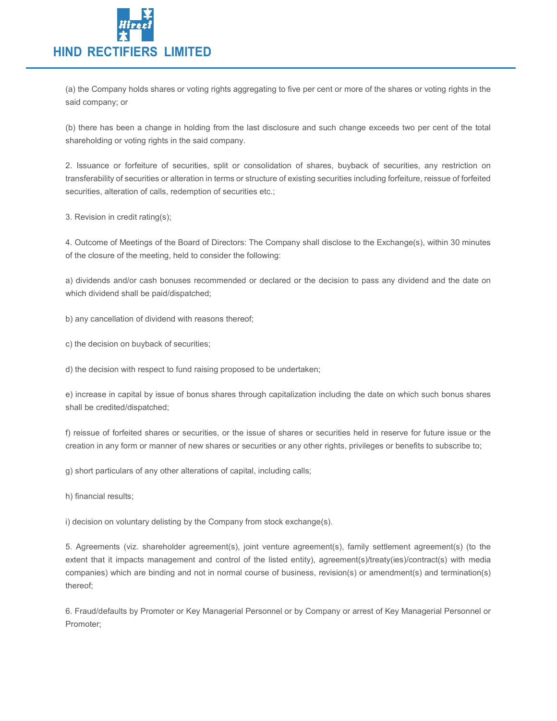

(a) the Company holds shares or voting rights aggregating to five per cent or more of the shares or voting rights in the said company; or

(b) there has been a change in holding from the last disclosure and such change exceeds two per cent of the total shareholding or voting rights in the said company.

2. Issuance or forfeiture of securities, split or consolidation of shares, buyback of securities, any restriction on transferability of securities or alteration in terms or structure of existing securities including forfeiture, reissue of forfeited securities, alteration of calls, redemption of securities etc.;

3. Revision in credit rating(s);

4. Outcome of Meetings of the Board of Directors: The Company shall disclose to the Exchange(s), within 30 minutes of the closure of the meeting, held to consider the following:

a) dividends and/or cash bonuses recommended or declared or the decision to pass any dividend and the date on which dividend shall be paid/dispatched;

b) any cancellation of dividend with reasons thereof;

c) the decision on buyback of securities;

d) the decision with respect to fund raising proposed to be undertaken;

e) increase in capital by issue of bonus shares through capitalization including the date on which such bonus shares shall be credited/dispatched;

f) reissue of forfeited shares or securities, or the issue of shares or securities held in reserve for future issue or the creation in any form or manner of new shares or securities or any other rights, privileges or benefits to subscribe to;

g) short particulars of any other alterations of capital, including calls;

h) financial results;

i) decision on voluntary delisting by the Company from stock exchange(s).

5. Agreements (viz. shareholder agreement(s), joint venture agreement(s), family settlement agreement(s) (to the extent that it impacts management and control of the listed entity), agreement(s)/treaty(ies)/contract(s) with media companies) which are binding and not in normal course of business, revision(s) or amendment(s) and termination(s) thereof;

6. Fraud/defaults by Promoter or Key Managerial Personnel or by Company or arrest of Key Managerial Personnel or Promoter;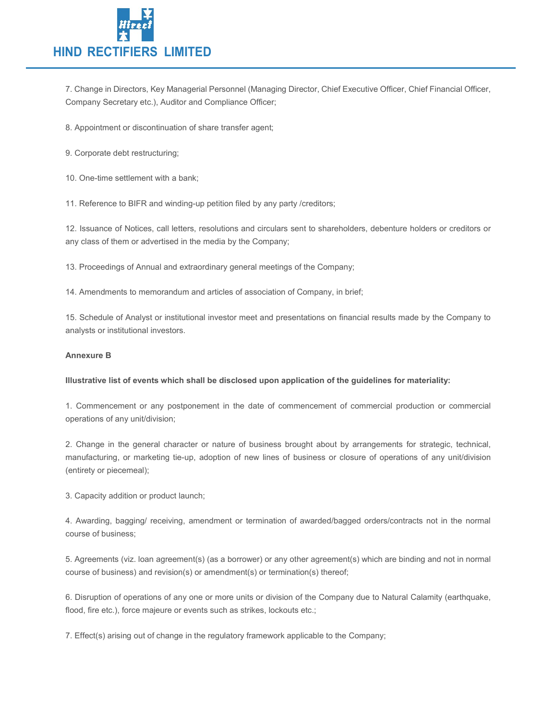

7. Change in Directors, Key Managerial Personnel (Managing Director, Chief Executive Officer, Chief Financial Officer, Company Secretary etc.), Auditor and Compliance Officer;

8. Appointment or discontinuation of share transfer agent;

9. Corporate debt restructuring;

10. One-time settlement with a bank;

11. Reference to BIFR and winding-up petition filed by any party /creditors;

12. Issuance of Notices, call letters, resolutions and circulars sent to shareholders, debenture holders or creditors or any class of them or advertised in the media by the Company;

13. Proceedings of Annual and extraordinary general meetings of the Company;

14. Amendments to memorandum and articles of association of Company, in brief;

15. Schedule of Analyst or institutional investor meet and presentations on financial results made by the Company to analysts or institutional investors.

#### Annexure B

#### Illustrative list of events which shall be disclosed upon application of the guidelines for materiality:

1. Commencement or any postponement in the date of commencement of commercial production or commercial operations of any unit/division;

2. Change in the general character or nature of business brought about by arrangements for strategic, technical, manufacturing, or marketing tie-up, adoption of new lines of business or closure of operations of any unit/division (entirety or piecemeal);

3. Capacity addition or product launch;

4. Awarding, bagging/ receiving, amendment or termination of awarded/bagged orders/contracts not in the normal course of business;

5. Agreements (viz. loan agreement(s) (as a borrower) or any other agreement(s) which are binding and not in normal course of business) and revision(s) or amendment(s) or termination(s) thereof;

6. Disruption of operations of any one or more units or division of the Company due to Natural Calamity (earthquake, flood, fire etc.), force majeure or events such as strikes, lockouts etc.;

7. Effect(s) arising out of change in the regulatory framework applicable to the Company;